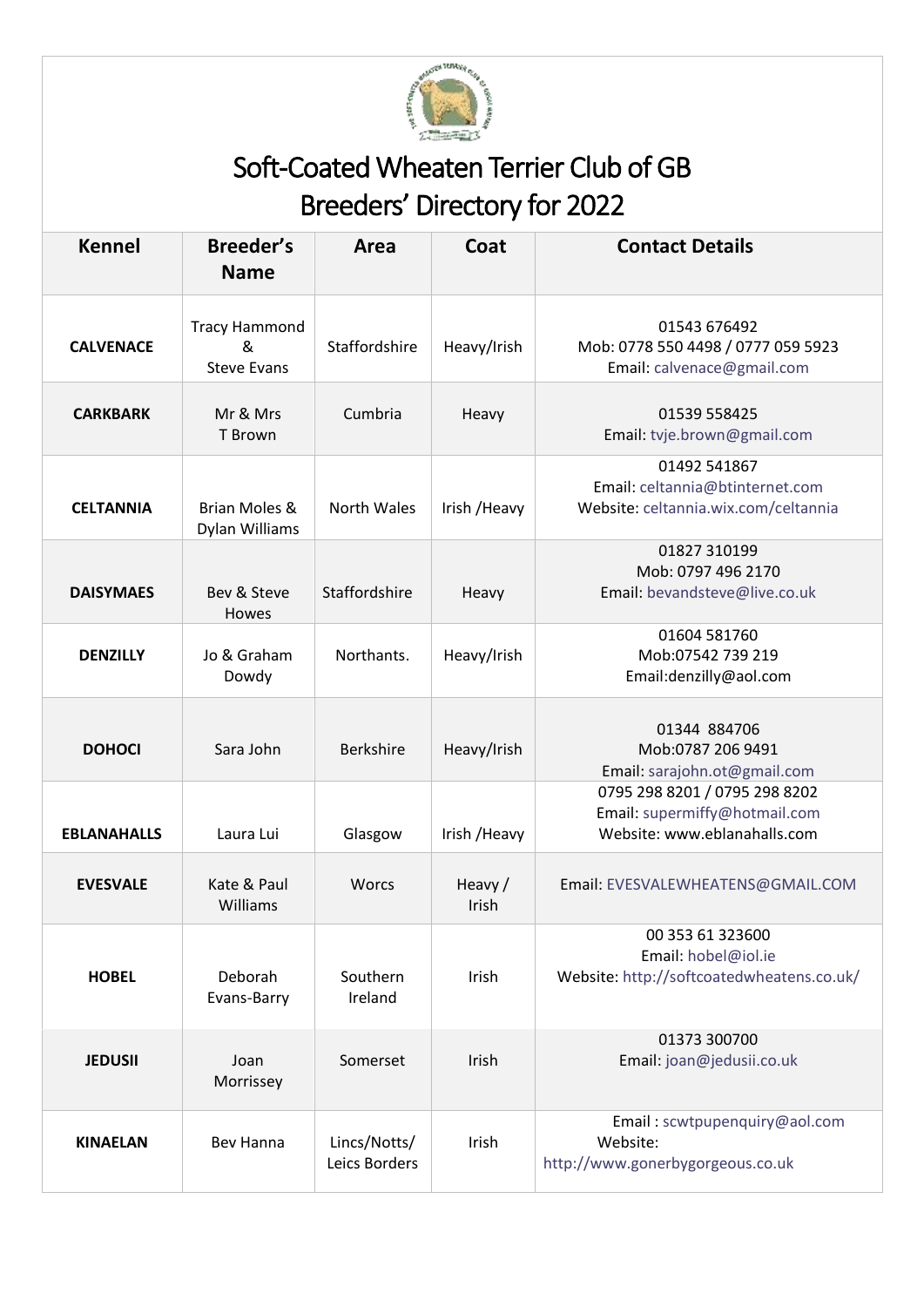

## Soft-Coated Wheaten Terrier Club of GB Breeders' Directory for 2022

| <b>Kennel</b>      | Breeder's<br><b>Name</b>                        | Area                          | Coat             | <b>Contact Details</b>                                                                         |
|--------------------|-------------------------------------------------|-------------------------------|------------------|------------------------------------------------------------------------------------------------|
| <b>CALVENACE</b>   | <b>Tracy Hammond</b><br>&<br><b>Steve Evans</b> | Staffordshire                 | Heavy/Irish      | 01543 676492<br>Mob: 0778 550 4498 / 0777 059 5923<br>Email: calvenace@gmail.com               |
| <b>CARKBARK</b>    | Mr & Mrs<br>T Brown                             | Cumbria                       | Heavy            | 01539 558425<br>Email: tvje.brown@gmail.com                                                    |
| <b>CELTANNIA</b>   | Brian Moles &<br>Dylan Williams                 | <b>North Wales</b>            | Irish / Heavy    | 01492 541867<br>Email: celtannia@btinternet.com<br>Website: celtannia.wix.com/celtannia        |
| <b>DAISYMAES</b>   | Bev & Steve<br>Howes                            | Staffordshire                 | Heavy            | 01827 310199<br>Mob: 0797 496 2170<br>Email: bevandsteve@live.co.uk                            |
| <b>DENZILLY</b>    | Jo & Graham<br>Dowdy                            | Northants.                    | Heavy/Irish      | 01604 581760<br>Mob:07542 739 219<br>Email:denzilly@aol.com                                    |
| <b>DOHOCI</b>      | Sara John                                       | <b>Berkshire</b>              | Heavy/Irish      | 01344 884706<br>Mob:0787 206 9491<br>Email: sarajohn.ot@gmail.com                              |
| <b>EBLANAHALLS</b> | Laura Lui                                       | Glasgow                       | Irish / Heavy    | 0795 298 8201 / 0795 298 8202<br>Email: supermiffy@hotmail.com<br>Website: www.eblanahalls.com |
| <b>EVESVALE</b>    | Kate & Paul<br>Williams                         | <b>Worcs</b>                  | Heavy /<br>Irish | Email: EVESVALEWHEATENS@GMAIL.COM                                                              |
| <b>HOBEL</b>       | Deborah<br>Evans-Barry                          | Southern<br>Ireland           | Irish            | 00 353 61 323600<br>Email: hobel@iol.ie<br>Website: http://softcoatedwheatens.co.uk/           |
| <b>JEDUSII</b>     | Joan<br>Morrissey                               | Somerset                      | Irish            | 01373 300700<br>Email: joan@jedusii.co.uk                                                      |
| <b>KINAELAN</b>    | Bev Hanna                                       | Lincs/Notts/<br>Leics Borders | Irish            | Email: scwtpupenquiry@aol.com<br>Website:<br>http://www.gonerbygorgeous.co.uk                  |